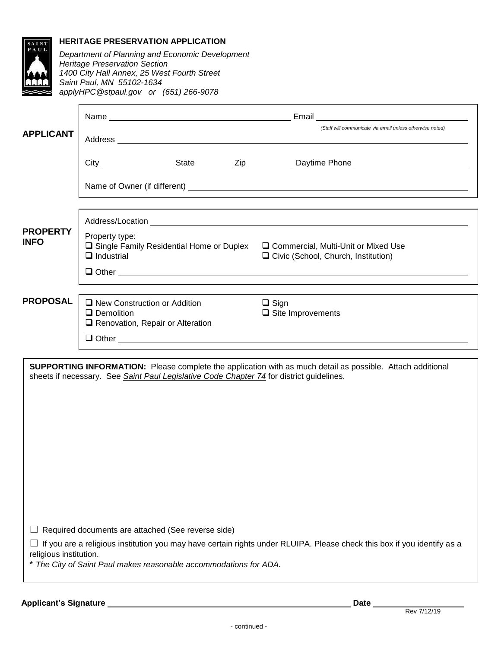| <b>APPLICANT</b>               |                                                                                                                                   |                                                                         |  | (Staff will communicate via email unless otherwise noted)                                                                                                                                                                     |
|--------------------------------|-----------------------------------------------------------------------------------------------------------------------------------|-------------------------------------------------------------------------|--|-------------------------------------------------------------------------------------------------------------------------------------------------------------------------------------------------------------------------------|
|                                |                                                                                                                                   |                                                                         |  |                                                                                                                                                                                                                               |
|                                |                                                                                                                                   |                                                                         |  |                                                                                                                                                                                                                               |
|                                |                                                                                                                                   |                                                                         |  |                                                                                                                                                                                                                               |
| <b>PROPERTY</b><br><b>INFO</b> | Property type:<br>$\Box$ Single Family Residential Home or Duplex $\Box$ Commercial, Multi-Unit or Mixed Use<br>$\Box$ Industrial |                                                                         |  | □ Civic (School, Church, Institution)                                                                                                                                                                                         |
|                                |                                                                                                                                   |                                                                         |  | Other contact the contract of the contract of the contract of the contract of the contract of the contract of the contract of the contract of the contract of the contract of the contract of the contract of the contract of |
| <b>PROPOSAL</b>                | $\Box$ Demolition                                                                                                                 | $\Box$ New Construction or Addition<br>Renovation, Repair or Alteration |  | $\Box$ Sign<br>$\Box$ Site Improvements                                                                                                                                                                                       |
|                                |                                                                                                                                   |                                                                         |  |                                                                                                                                                                                                                               |
|                                |                                                                                                                                   |                                                                         |  |                                                                                                                                                                                                                               |
|                                |                                                                                                                                   |                                                                         |  | <b>SUPPORTING INFORMATION:</b> Please complete the application with as much detail as possible. Attach additional<br>sheets if necessary. See Saint Paul Legislative Code Chapter 74 for district guidelines.                 |
|                                |                                                                                                                                   | Required documents are attached (See reverse side)                      |  |                                                                                                                                                                                                                               |
|                                |                                                                                                                                   |                                                                         |  | If you are a religious institution you may have certain rights under RLUIPA. Please check this box if you identify as a                                                                                                       |